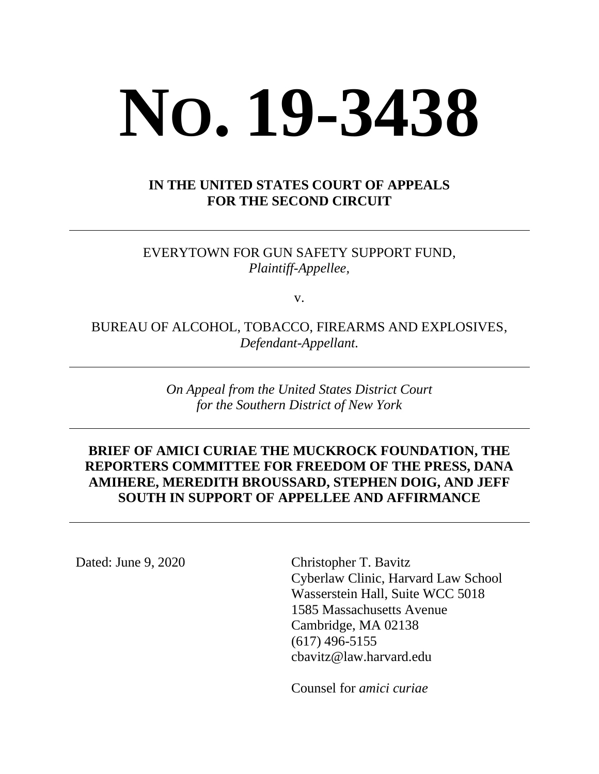# **NO. 19-3438**

## **IN THE UNITED STATES COURT OF APPEALS FOR THE SECOND CIRCUIT**

EVERYTOWN FOR GUN SAFETY SUPPORT FUND, *Plaintiff-Appellee,*

v.

BUREAU OF ALCOHOL, TOBACCO, FIREARMS AND EXPLOSIVES, *Defendant-Appellant.*

> *On Appeal from the United States District Court for the Southern District of New York*

## **BRIEF OF AMICI CURIAE THE MUCKROCK FOUNDATION, THE REPORTERS COMMITTEE FOR FREEDOM OF THE PRESS, DANA AMIHERE, MEREDITH BROUSSARD, STEPHEN DOIG, AND JEFF SOUTH IN SUPPORT OF APPELLEE AND AFFIRMANCE**

Dated: June 9, 2020 Christopher T. Bavitz

Cyberlaw Clinic, Harvard Law School Wasserstein Hall, Suite WCC 5018 1585 Massachusetts Avenue Cambridge, MA 02138 (617) 496-5155 cbavitz@law.harvard.edu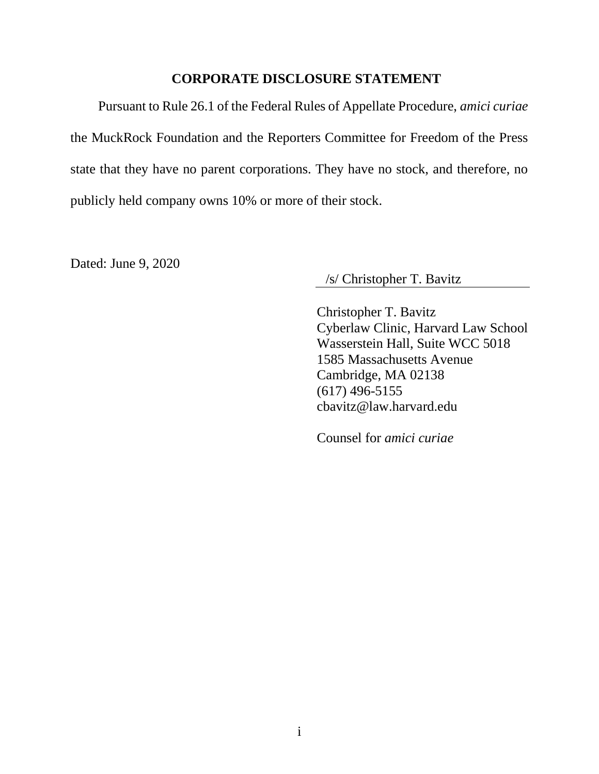#### **CORPORATE DISCLOSURE STATEMENT**

<span id="page-1-0"></span>Pursuant to Rule 26.1 of the Federal Rules of Appellate Procedure, *amici curiae* the MuckRock Foundation and the Reporters Committee for Freedom of the Press state that they have no parent corporations. They have no stock, and therefore, no publicly held company owns 10% or more of their stock.

Dated: June 9, 2020

/s/ Christopher T. Bavitz

Christopher T. Bavitz Cyberlaw Clinic, Harvard Law School Wasserstein Hall, Suite WCC 5018 1585 Massachusetts Avenue Cambridge, MA 02138 (617) 496-5155 cbavitz@law.harvard.edu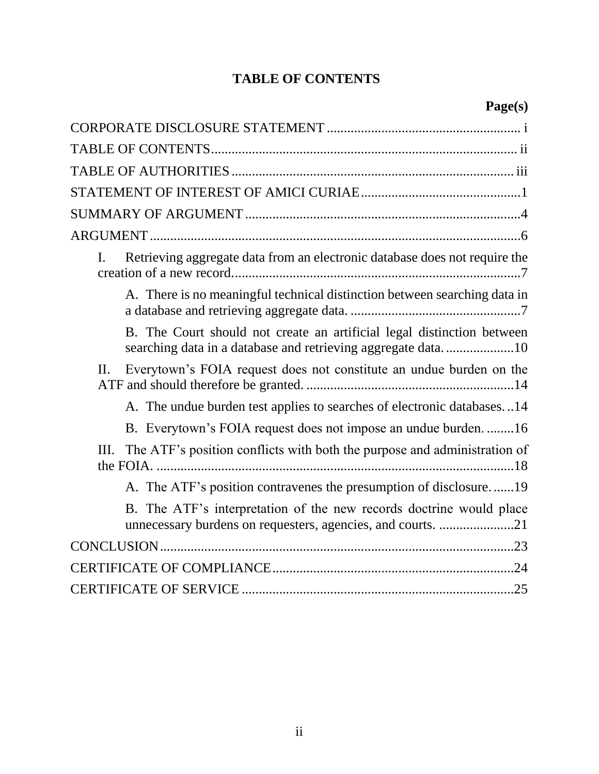# **TABLE OF CONTENTS**

<span id="page-2-0"></span>

| Retrieving aggregate data from an electronic database does not require the<br>I.                                                       |
|----------------------------------------------------------------------------------------------------------------------------------------|
| A. There is no meaningful technical distinction between searching data in                                                              |
| B. The Court should not create an artificial legal distinction between<br>searching data in a database and retrieving aggregate data10 |
| Everytown's FOIA request does not constitute an undue burden on the<br>II.                                                             |
| A. The undue burden test applies to searches of electronic databases14                                                                 |
| B. Everytown's FOIA request does not impose an undue burden16                                                                          |
| The ATF's position conflicts with both the purpose and administration of<br>Ш.                                                         |
| A. The ATF's position contravenes the presumption of disclosure19                                                                      |
| B. The ATF's interpretation of the new records doctrine would place<br>unnecessary burdens on requesters, agencies, and courts. 21     |
|                                                                                                                                        |
|                                                                                                                                        |
|                                                                                                                                        |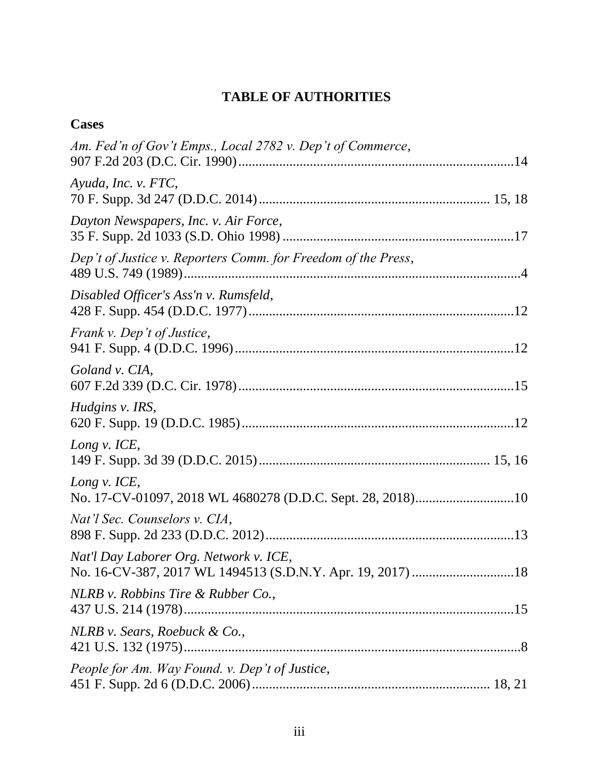## **TABLE OF AUTHORITIES**

<span id="page-3-0"></span>

| <b>Cases</b>                                                               |
|----------------------------------------------------------------------------|
| Am. Fed'n of Gov't Emps., Local 2782 v. Dep't of Commerce,                 |
| Ayuda, Inc. v. FTC,                                                        |
| Dayton Newspapers, Inc. v. Air Force,                                      |
| Dep't of Justice v. Reporters Comm. for Freedom of the Press,              |
| Disabled Officer's Ass'n v. Rumsfeld,                                      |
| Frank v. Dep't of Justice,                                                 |
| Goland v. CIA,                                                             |
| Hudgins v. IRS,                                                            |
| Long v. ICE,                                                               |
| Long v. ICE,<br>No. 17-CV-01097, 2018 WL 4680278 (D.D.C. Sept. 28, 2018)10 |
| Nat'l Sec. Counselors v. CIA,                                              |
| Nat'l Day Laborer Org. Network v. ICE,                                     |
| NLRB v. Robbins Tire & Rubber Co.,                                         |
| NLRB v. Sears, Roebuck & Co.,                                              |
| People for Am. Way Found. v. Dep't of Justice,                             |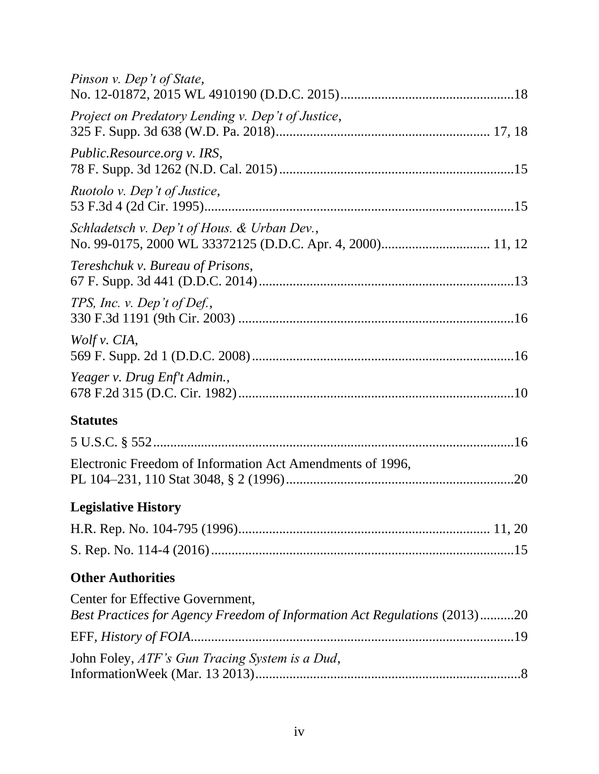| Pinson v. Dep't of State,                                                                                     |
|---------------------------------------------------------------------------------------------------------------|
| Project on Predatory Lending v. Dep't of Justice,                                                             |
| Public.Resource.org v. IRS,                                                                                   |
| Ruotolo v. Dep't of Justice,                                                                                  |
| Schladetsch v. Dep't of Hous. & Urban Dev.,                                                                   |
| Tereshchuk v. Bureau of Prisons,                                                                              |
| TPS, Inc. v. Dep't of Def.,                                                                                   |
| Wolf v. CIA,                                                                                                  |
| Yeager v. Drug Enf't Admin.,                                                                                  |
| <b>Statutes</b>                                                                                               |
|                                                                                                               |
| Electronic Freedom of Information Act Amendments of 1996,                                                     |
| <b>Legislative History</b>                                                                                    |
|                                                                                                               |
|                                                                                                               |
| <b>Other Authorities</b>                                                                                      |
| Center for Effective Government,<br>Best Practices for Agency Freedom of Information Act Regulations (2013)20 |
|                                                                                                               |
| John Foley, ATF's Gun Tracing System is a Dud,                                                                |
|                                                                                                               |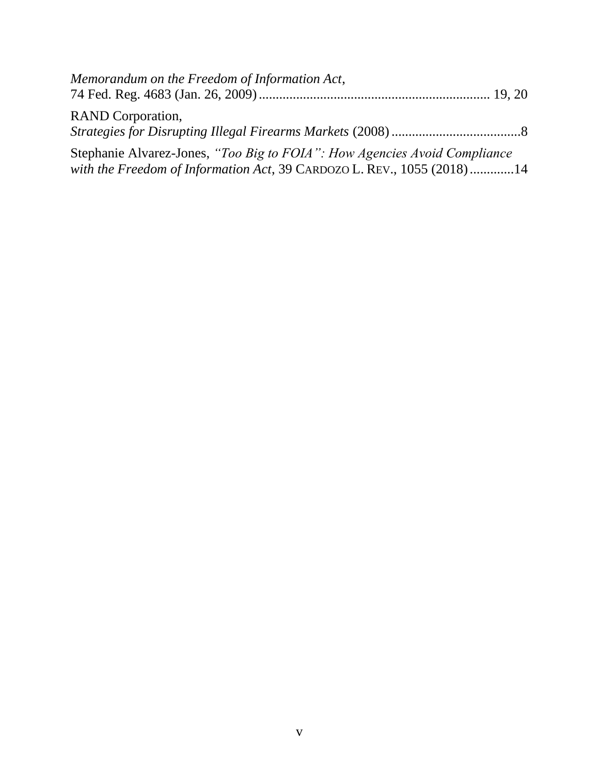| Memorandum on the Freedom of Information Act,                             |
|---------------------------------------------------------------------------|
| <b>RAND</b> Corporation,                                                  |
|                                                                           |
| Stephanie Alvarez-Jones, "Too Big to FOIA": How Agencies Avoid Compliance |
| with the Freedom of Information Act, 39 CARDOZO L. REV., 1055 (2018)14    |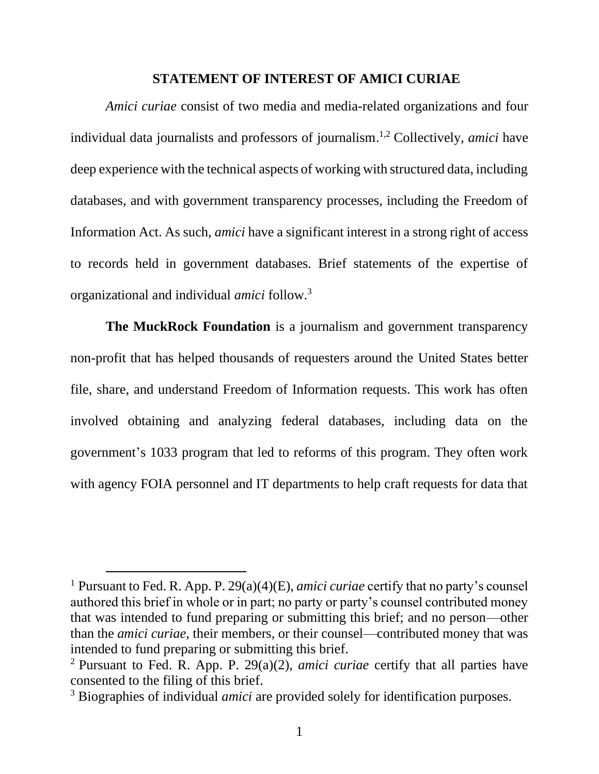#### **STATEMENT OF INTEREST OF AMICI CURIAE**

<span id="page-6-0"></span>*Amici curiae* consist of two media and media-related organizations and four individual data journalists and professors of journalism. 1,2 Collectively, *amici* have deep experience with the technical aspects of working with structured data, including databases, and with government transparency processes, including the Freedom of Information Act. As such, *amici* have a significant interest in a strong right of access to records held in government databases. Brief statements of the expertise of organizational and individual *amici* follow.<sup>3</sup>

**The MuckRock Foundation** is a journalism and government transparency non-profit that has helped thousands of requesters around the United States better file, share, and understand Freedom of Information requests. This work has often involved obtaining and analyzing federal databases, including data on the government's 1033 program that led to reforms of this program. They often work with agency FOIA personnel and IT departments to help craft requests for data that

<sup>1</sup> Pursuant to Fed. R. App. P. 29(a)(4)(E), *amici curiae* certify that no party's counsel authored this brief in whole or in part; no party or party's counsel contributed money that was intended to fund preparing or submitting this brief; and no person—other than the *amici curiae*, their members, or their counsel—contributed money that was intended to fund preparing or submitting this brief.

<sup>2</sup> Pursuant to Fed. R. App. P. 29(a)(2), *amici curiae* certify that all parties have consented to the filing of this brief.

<sup>3</sup> Biographies of individual *amici* are provided solely for identification purposes.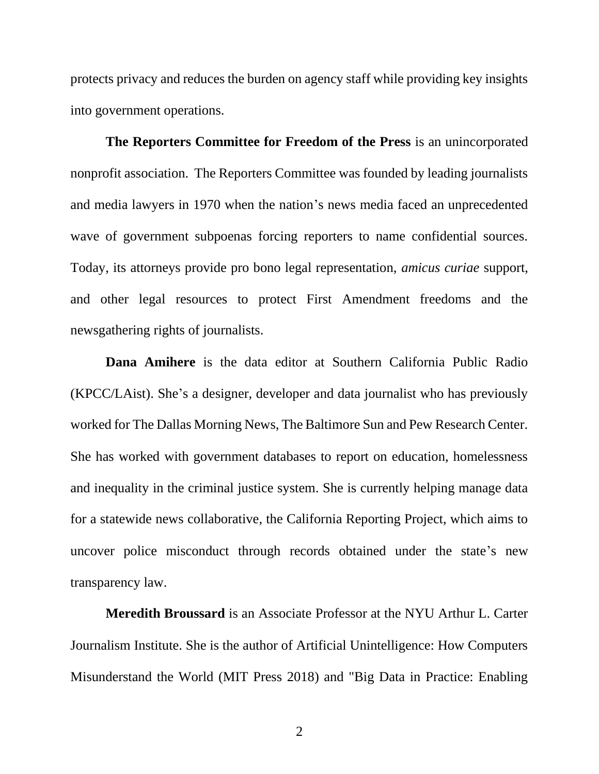protects privacy and reduces the burden on agency staff while providing key insights into government operations.

**The Reporters Committee for Freedom of the Press** is an unincorporated nonprofit association. The Reporters Committee was founded by leading journalists and media lawyers in 1970 when the nation's news media faced an unprecedented wave of government subpoenas forcing reporters to name confidential sources. Today, its attorneys provide pro bono legal representation, *amicus curiae* support, and other legal resources to protect First Amendment freedoms and the newsgathering rights of journalists.

**Dana Amihere** is the data editor at Southern California Public Radio (KPCC/LAist). She's a designer, developer and data journalist who has previously worked for The Dallas Morning News, The Baltimore Sun and Pew Research Center. She has worked with government databases to report on education, homelessness and inequality in the criminal justice system. She is currently helping manage data for a statewide news collaborative, the California Reporting Project, which aims to uncover police misconduct through records obtained under the state's new transparency law.

**Meredith Broussard** is an Associate Professor at the NYU Arthur L. Carter Journalism Institute. She is the author of Artificial Unintelligence: How Computers Misunderstand the World (MIT Press 2018) and "Big Data in Practice: Enabling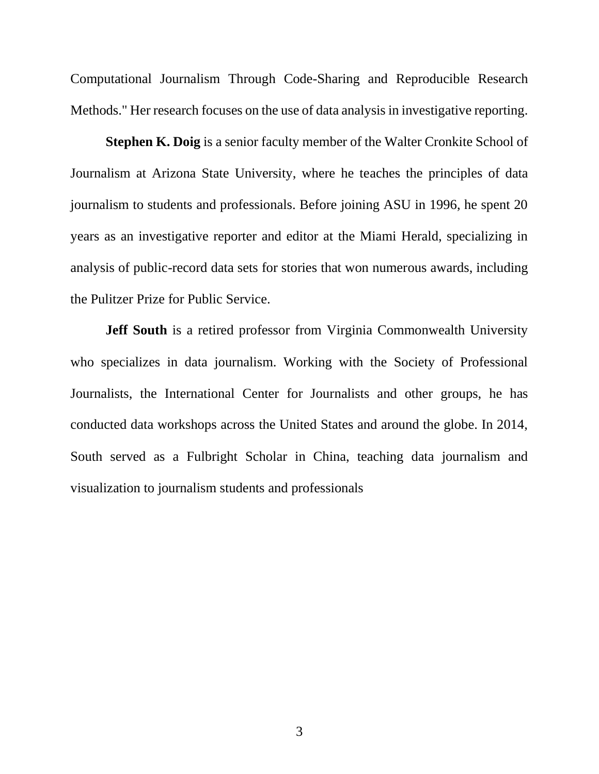Computational Journalism Through Code-Sharing and Reproducible Research Methods." Her research focuses on the use of data analysis in investigative reporting.

**Stephen K. Doig** is a senior faculty member of the Walter Cronkite School of Journalism at Arizona State University, where he teaches the principles of data journalism to students and professionals. Before joining ASU in 1996, he spent 20 years as an investigative reporter and editor at the Miami Herald, specializing in analysis of public-record data sets for stories that won numerous awards, including the Pulitzer Prize for Public Service.

**Jeff South** is a retired professor from Virginia Commonwealth University who specializes in data journalism. Working with the Society of Professional Journalists, the International Center for Journalists and other groups, he has conducted data workshops across the United States and around the globe. In 2014, South served as a Fulbright Scholar in China, teaching data journalism and visualization to journalism students and professionals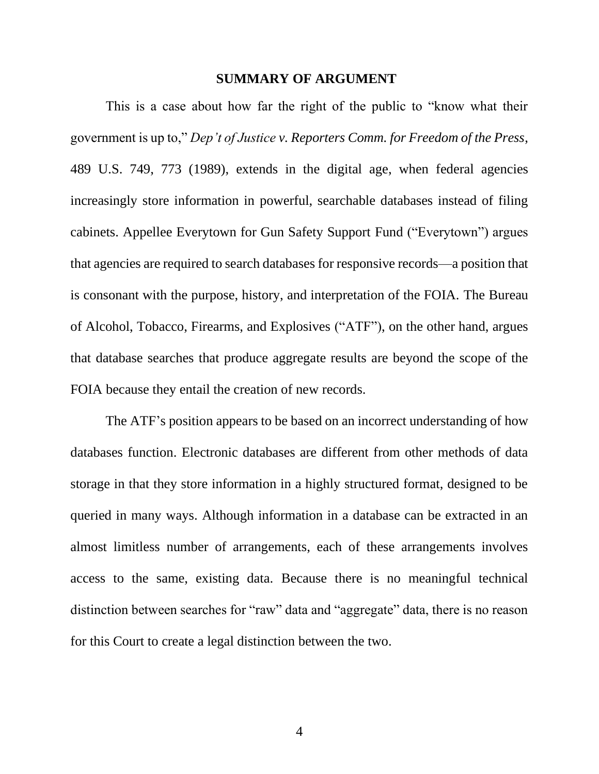#### **SUMMARY OF ARGUMENT**

<span id="page-9-0"></span>This is a case about how far the right of the public to "know what their government is up to," *Dep't of Justice v. Reporters Comm. for Freedom of the Press*, 489 U.S. 749, 773 (1989), extends in the digital age, when federal agencies increasingly store information in powerful, searchable databases instead of filing cabinets. Appellee Everytown for Gun Safety Support Fund ("Everytown") argues that agencies are required to search databases for responsive records—a position that is consonant with the purpose, history, and interpretation of the FOIA. The Bureau of Alcohol, Tobacco, Firearms, and Explosives ("ATF"), on the other hand, argues that database searches that produce aggregate results are beyond the scope of the FOIA because they entail the creation of new records.

The ATF's position appears to be based on an incorrect understanding of how databases function. Electronic databases are different from other methods of data storage in that they store information in a highly structured format, designed to be queried in many ways. Although information in a database can be extracted in an almost limitless number of arrangements, each of these arrangements involves access to the same, existing data. Because there is no meaningful technical distinction between searches for "raw" data and "aggregate" data, there is no reason for this Court to create a legal distinction between the two.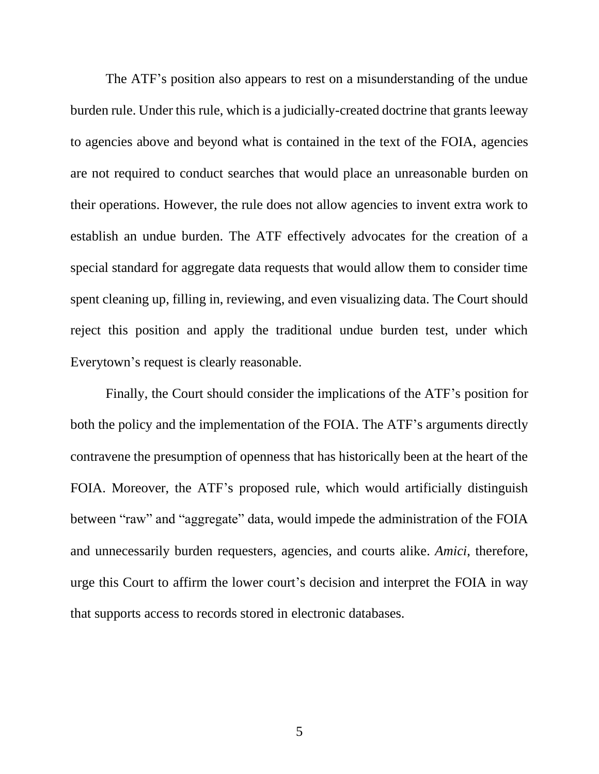The ATF's position also appears to rest on a misunderstanding of the undue burden rule. Under this rule, which is a judicially-created doctrine that grants leeway to agencies above and beyond what is contained in the text of the FOIA, agencies are not required to conduct searches that would place an unreasonable burden on their operations. However, the rule does not allow agencies to invent extra work to establish an undue burden. The ATF effectively advocates for the creation of a special standard for aggregate data requests that would allow them to consider time spent cleaning up, filling in, reviewing, and even visualizing data. The Court should reject this position and apply the traditional undue burden test, under which Everytown's request is clearly reasonable.

Finally, the Court should consider the implications of the ATF's position for both the policy and the implementation of the FOIA. The ATF's arguments directly contravene the presumption of openness that has historically been at the heart of the FOIA. Moreover, the ATF's proposed rule, which would artificially distinguish between "raw" and "aggregate" data, would impede the administration of the FOIA and unnecessarily burden requesters, agencies, and courts alike. *Amici*, therefore, urge this Court to affirm the lower court's decision and interpret the FOIA in way that supports access to records stored in electronic databases.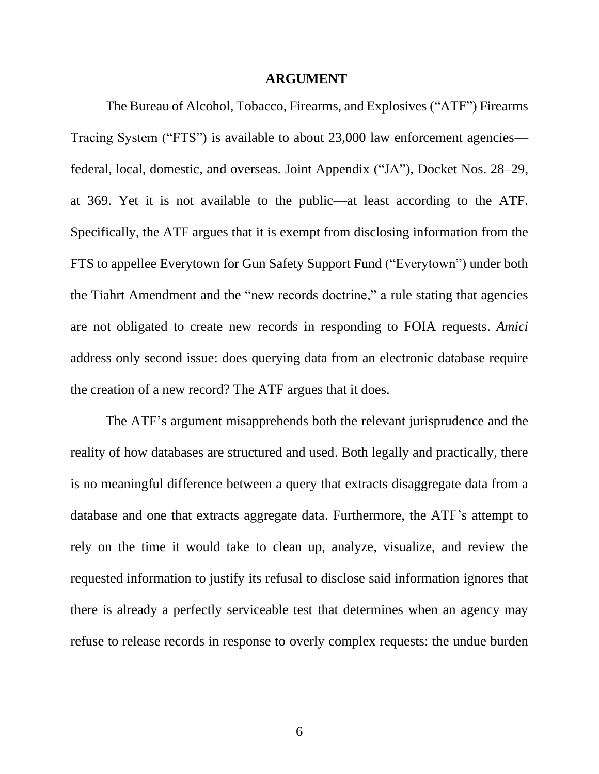#### **ARGUMENT**

<span id="page-11-0"></span>The Bureau of Alcohol, Tobacco, Firearms, and Explosives ("ATF") Firearms Tracing System ("FTS") is available to about 23,000 law enforcement agencies federal, local, domestic, and overseas. Joint Appendix ("JA"), Docket Nos. 28–29, at 369. Yet it is not available to the public—at least according to the ATF. Specifically, the ATF argues that it is exempt from disclosing information from the FTS to appellee Everytown for Gun Safety Support Fund ("Everytown") under both the Tiahrt Amendment and the "new records doctrine," a rule stating that agencies are not obligated to create new records in responding to FOIA requests. *Amici* address only second issue: does querying data from an electronic database require the creation of a new record? The ATF argues that it does.

The ATF's argument misapprehends both the relevant jurisprudence and the reality of how databases are structured and used. Both legally and practically, there is no meaningful difference between a query that extracts disaggregate data from a database and one that extracts aggregate data. Furthermore, the ATF's attempt to rely on the time it would take to clean up, analyze, visualize, and review the requested information to justify its refusal to disclose said information ignores that there is already a perfectly serviceable test that determines when an agency may refuse to release records in response to overly complex requests: the undue burden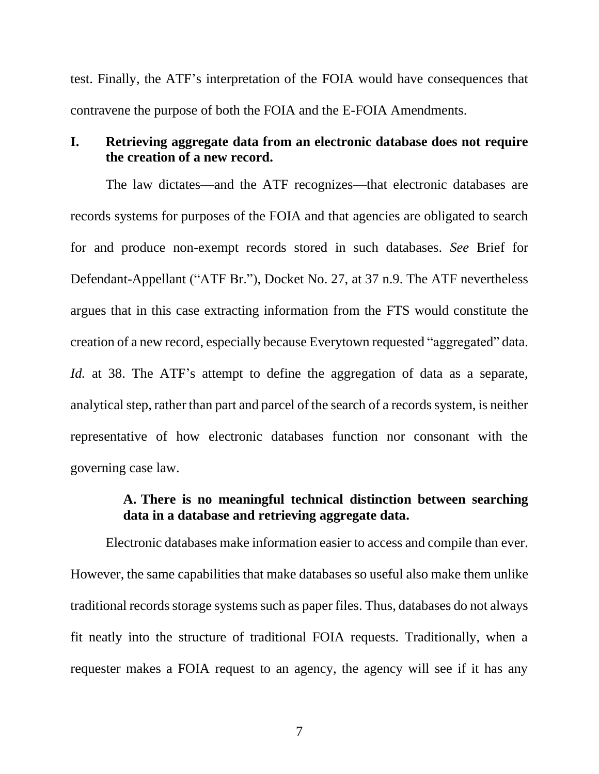test. Finally, the ATF's interpretation of the FOIA would have consequences that contravene the purpose of both the FOIA and the E-FOIA Amendments.

## <span id="page-12-0"></span>**I. Retrieving aggregate data from an electronic database does not require the creation of a new record.**

The law dictates—and the ATF recognizes—that electronic databases are records systems for purposes of the FOIA and that agencies are obligated to search for and produce non-exempt records stored in such databases. *See* Brief for Defendant-Appellant ("ATF Br."), Docket No. 27, at 37 n.9. The ATF nevertheless argues that in this case extracting information from the FTS would constitute the creation of a new record, especially because Everytown requested "aggregated" data. *Id.* at 38. The ATF's attempt to define the aggregation of data as a separate, analytical step, rather than part and parcel of the search of a records system, is neither representative of how electronic databases function nor consonant with the governing case law.

## **A. There is no meaningful technical distinction between searching data in a database and retrieving aggregate data.**

<span id="page-12-1"></span>Electronic databases make information easier to access and compile than ever. However, the same capabilities that make databases so useful also make them unlike traditional records storage systems such as paper files. Thus, databases do not always fit neatly into the structure of traditional FOIA requests. Traditionally, when a requester makes a FOIA request to an agency, the agency will see if it has any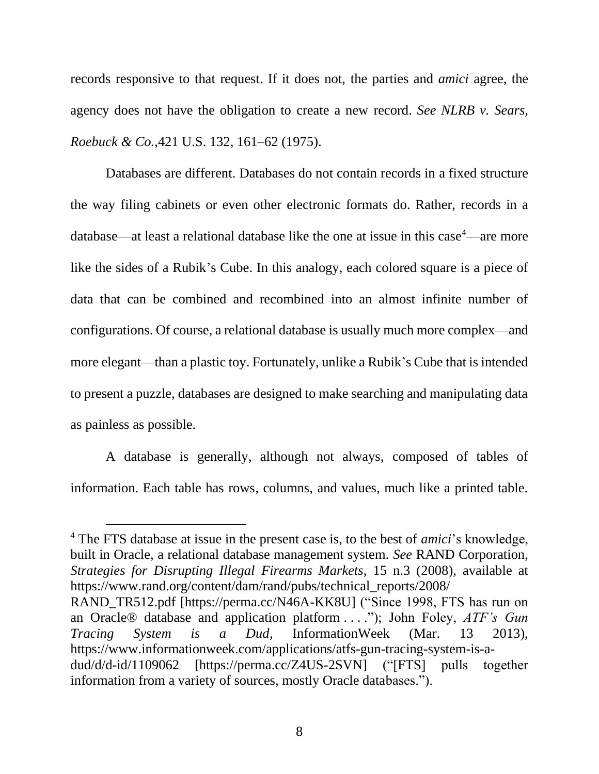records responsive to that request. If it does not, the parties and *amici* agree, the agency does not have the obligation to create a new record. *See NLRB v. Sears, Roebuck & Co.*,421 U.S. 132, 161–62 (1975).

Databases are different. Databases do not contain records in a fixed structure the way filing cabinets or even other electronic formats do. Rather, records in a database—at least a relational database like the one at issue in this case $4$ —are more like the sides of a Rubik's Cube. In this analogy, each colored square is a piece of data that can be combined and recombined into an almost infinite number of configurations. Of course, a relational database is usually much more complex—and more elegant—than a plastic toy. Fortunately, unlike a Rubik's Cube that is intended to present a puzzle, databases are designed to make searching and manipulating data as painless as possible.

A database is generally, although not always, composed of tables of information. Each table has rows, columns, and values, much like a printed table.

<sup>4</sup> The FTS database at issue in the present case is, to the best of *amici*'s knowledge, built in Oracle, a relational database management system. *See* RAND Corporation, *Strategies for Disrupting Illegal Firearms Markets*, 15 n.3 (2008), available at https://www.rand.org/content/dam/rand/pubs/technical\_reports/2008/

RAND\_TR512.pdf [https://perma.cc/N46A-KK8U] ("Since 1998, FTS has run on an Oracle® database and application platform . . . ."); John Foley, *ATF's Gun Tracing System is a Dud*, InformationWeek (Mar. 13 2013), https://www.informationweek.com/applications/atfs-gun-tracing-system-is-adud/d/d-id/1109062 [https://perma.cc/Z4US-2SVN] ("[FTS] pulls together information from a variety of sources, mostly Oracle databases.").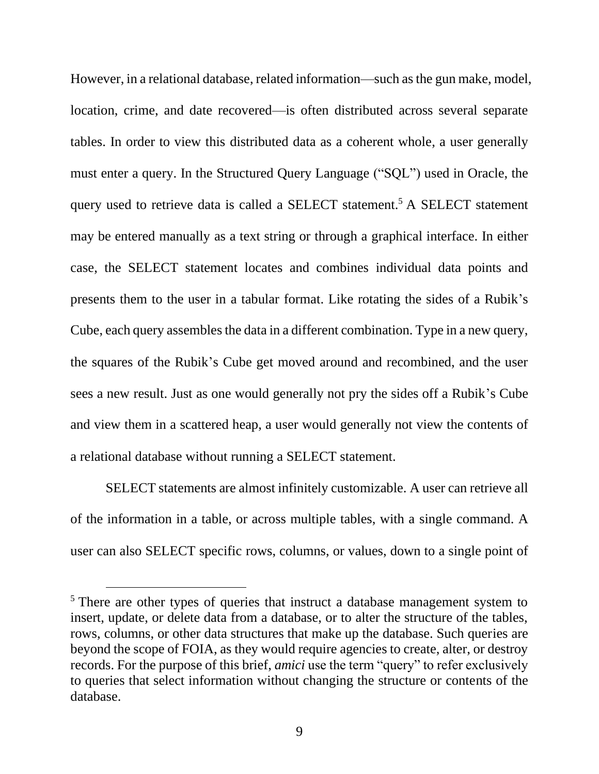However, in a relational database, related information—such as the gun make, model, location, crime, and date recovered—is often distributed across several separate tables. In order to view this distributed data as a coherent whole, a user generally must enter a query. In the Structured Query Language ("SQL") used in Oracle, the query used to retrieve data is called a SELECT statement.<sup>5</sup> A SELECT statement may be entered manually as a text string or through a graphical interface. In either case, the SELECT statement locates and combines individual data points and presents them to the user in a tabular format. Like rotating the sides of a Rubik's Cube, each query assembles the data in a different combination. Type in a new query, the squares of the Rubik's Cube get moved around and recombined, and the user sees a new result. Just as one would generally not pry the sides off a Rubik's Cube and view them in a scattered heap, a user would generally not view the contents of a relational database without running a SELECT statement.

SELECT statements are almost infinitely customizable. A user can retrieve all of the information in a table, or across multiple tables, with a single command. A user can also SELECT specific rows, columns, or values, down to a single point of

<sup>&</sup>lt;sup>5</sup> There are other types of queries that instruct a database management system to insert, update, or delete data from a database, or to alter the structure of the tables, rows, columns, or other data structures that make up the database. Such queries are beyond the scope of FOIA, as they would require agencies to create, alter, or destroy records. For the purpose of this brief, *amici* use the term "query" to refer exclusively to queries that select information without changing the structure or contents of the database.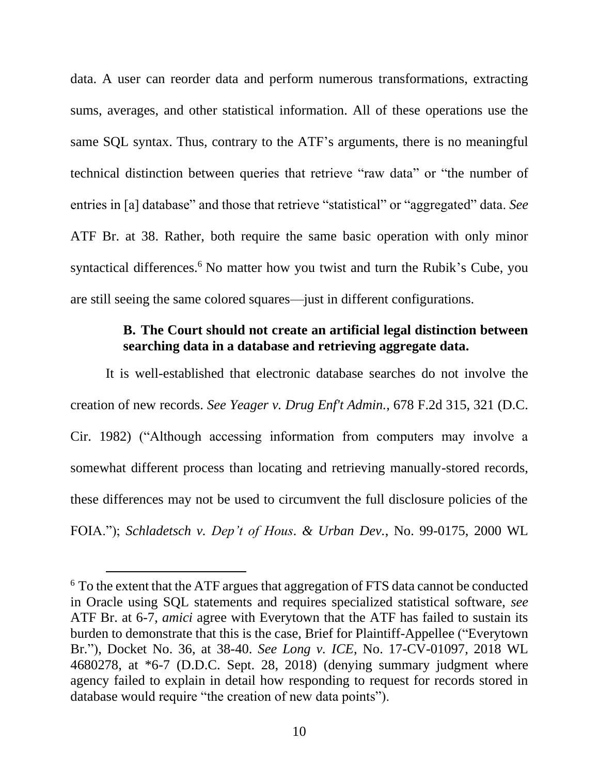data. A user can reorder data and perform numerous transformations, extracting sums, averages, and other statistical information. All of these operations use the same SQL syntax. Thus, contrary to the ATF's arguments, there is no meaningful technical distinction between queries that retrieve "raw data" or "the number of entries in [a] database" and those that retrieve "statistical" or "aggregated" data. *See* ATF Br. at 38. Rather, both require the same basic operation with only minor syntactical differences.<sup>6</sup> No matter how you twist and turn the Rubik's Cube, you are still seeing the same colored squares—just in different configurations.

## **B. The Court should not create an artificial legal distinction between searching data in a database and retrieving aggregate data.**

<span id="page-15-0"></span>It is well-established that electronic database searches do not involve the creation of new records. *See Yeager v. Drug Enf't Admin.*, 678 F.2d 315, 321 (D.C. Cir. 1982) ("Although accessing information from computers may involve a somewhat different process than locating and retrieving manually-stored records, these differences may not be used to circumvent the full disclosure policies of the FOIA."); *Schladetsch v. Dep't of Hous. & Urban Dev.*, No. 99-0175, 2000 WL

<sup>6</sup> To the extent that the ATF argues that aggregation of FTS data cannot be conducted in Oracle using SQL statements and requires specialized statistical software, *see* ATF Br. at 6-7, *amici* agree with Everytown that the ATF has failed to sustain its burden to demonstrate that this is the case, Brief for Plaintiff-Appellee ("Everytown Br."), Docket No. 36, at 38-40. *See Long v. ICE*, No. 17-CV-01097, 2018 WL 4680278, at \*6-7 (D.D.C. Sept. 28, 2018) (denying summary judgment where agency failed to explain in detail how responding to request for records stored in database would require "the creation of new data points").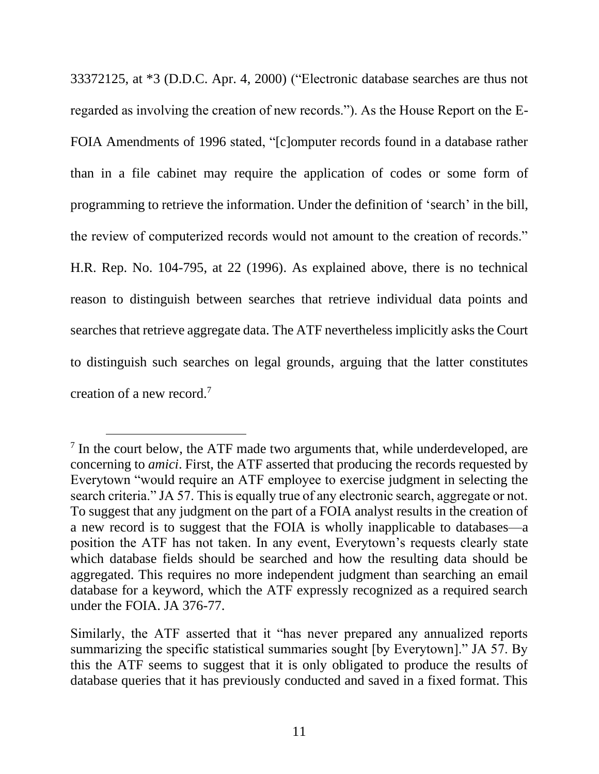33372125, at \*3 (D.D.C. Apr. 4, 2000) ("Electronic database searches are thus not regarded as involving the creation of new records."). As the House Report on the E-FOIA Amendments of 1996 stated, "[c]omputer records found in a database rather than in a file cabinet may require the application of codes or some form of programming to retrieve the information. Under the definition of 'search' in the bill, the review of computerized records would not amount to the creation of records." H.R. Rep. No. 104-795, at 22 (1996). As explained above, there is no technical reason to distinguish between searches that retrieve individual data points and searches that retrieve aggregate data. The ATF nevertheless implicitly asks the Court to distinguish such searches on legal grounds, arguing that the latter constitutes creation of a new record.<sup>7</sup>

<sup>&</sup>lt;sup>7</sup> In the court below, the ATF made two arguments that, while underdeveloped, are concerning to *amici*. First, the ATF asserted that producing the records requested by Everytown "would require an ATF employee to exercise judgment in selecting the search criteria." JA 57. This is equally true of any electronic search, aggregate or not. To suggest that any judgment on the part of a FOIA analyst results in the creation of a new record is to suggest that the FOIA is wholly inapplicable to databases—a position the ATF has not taken. In any event, Everytown's requests clearly state which database fields should be searched and how the resulting data should be aggregated. This requires no more independent judgment than searching an email database for a keyword, which the ATF expressly recognized as a required search under the FOIA. JA 376-77.

Similarly, the ATF asserted that it "has never prepared any annualized reports summarizing the specific statistical summaries sought [by Everytown]." JA 57. By this the ATF seems to suggest that it is only obligated to produce the results of database queries that it has previously conducted and saved in a fixed format. This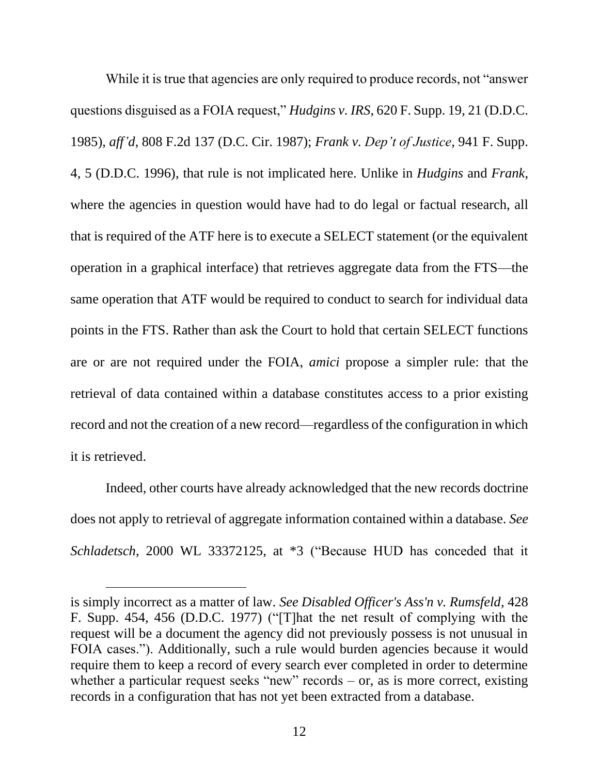While it is true that agencies are only required to produce records, not "answer" questions disguised as a FOIA request," *Hudgins v. IRS*, 620 F. Supp. 19, 21 (D.D.C. 1985), *aff'd*, 808 F.2d 137 (D.C. Cir. 1987); *Frank v. Dep't of Justice*, 941 F. Supp. 4, 5 (D.D.C. 1996), that rule is not implicated here. Unlike in *Hudgins* and *Frank*, where the agencies in question would have had to do legal or factual research, all that is required of the ATF here is to execute a SELECT statement (or the equivalent operation in a graphical interface) that retrieves aggregate data from the FTS—the same operation that ATF would be required to conduct to search for individual data points in the FTS. Rather than ask the Court to hold that certain SELECT functions are or are not required under the FOIA, *amici* propose a simpler rule: that the retrieval of data contained within a database constitutes access to a prior existing record and not the creation of a new record—regardless of the configuration in which it is retrieved.

Indeed, other courts have already acknowledged that the new records doctrine does not apply to retrieval of aggregate information contained within a database. *See Schladetsch*, 2000 WL 33372125, at \*3 ("Because HUD has conceded that it

is simply incorrect as a matter of law. *See Disabled Officer's Ass'n v. Rumsfeld*, 428 F. Supp. 454, 456 (D.D.C. 1977) ("[T]hat the net result of complying with the request will be a document the agency did not previously possess is not unusual in FOIA cases."). Additionally, such a rule would burden agencies because it would require them to keep a record of every search ever completed in order to determine whether a particular request seeks "new" records – or, as is more correct, existing records in a configuration that has not yet been extracted from a database.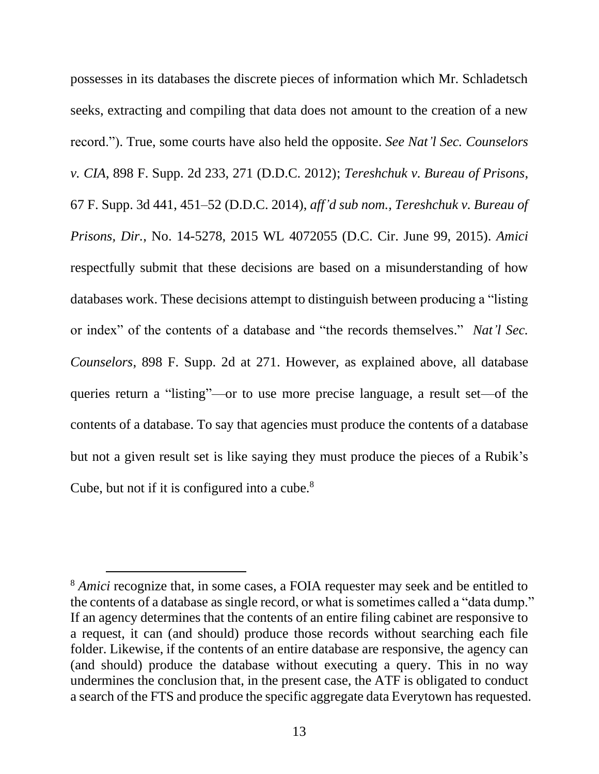possesses in its databases the discrete pieces of information which Mr. Schladetsch seeks, extracting and compiling that data does not amount to the creation of a new record."). True, some courts have also held the opposite. *See Nat'l Sec. Counselors v. CIA*, 898 F. Supp. 2d 233, 271 (D.D.C. 2012); *Tereshchuk v. Bureau of Prisons*, 67 F. Supp. 3d 441, 451–52 (D.D.C. 2014), *aff'd sub nom., Tereshchuk v. Bureau of Prisons, Dir.*, No. 14-5278, 2015 WL 4072055 (D.C. Cir. June 99, 2015). *Amici* respectfully submit that these decisions are based on a misunderstanding of how databases work. These decisions attempt to distinguish between producing a "listing or index" of the contents of a database and "the records themselves." *Nat'l Sec. Counselors*, 898 F. Supp. 2d at 271. However, as explained above, all database queries return a "listing"—or to use more precise language, a result set—of the contents of a database. To say that agencies must produce the contents of a database but not a given result set is like saying they must produce the pieces of a Rubik's Cube, but not if it is configured into a cube.<sup>8</sup>

<sup>8</sup> *Amici* recognize that, in some cases, a FOIA requester may seek and be entitled to the contents of a database as single record, or what is sometimes called a "data dump." If an agency determines that the contents of an entire filing cabinet are responsive to a request, it can (and should) produce those records without searching each file folder. Likewise, if the contents of an entire database are responsive, the agency can (and should) produce the database without executing a query. This in no way undermines the conclusion that, in the present case, the ATF is obligated to conduct a search of the FTS and produce the specific aggregate data Everytown has requested.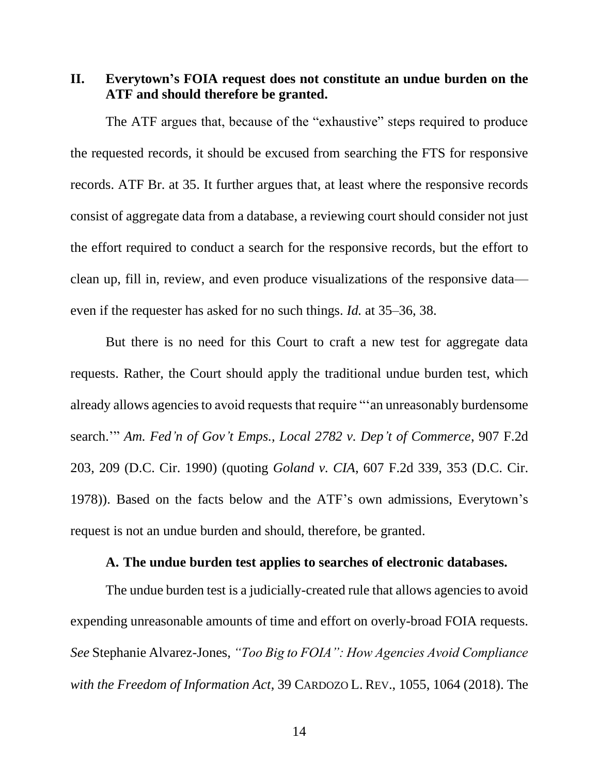<span id="page-19-0"></span>**II. Everytown's FOIA request does not constitute an undue burden on the ATF and should therefore be granted.**

The ATF argues that, because of the "exhaustive" steps required to produce the requested records, it should be excused from searching the FTS for responsive records. ATF Br. at 35. It further argues that, at least where the responsive records consist of aggregate data from a database, a reviewing court should consider not just the effort required to conduct a search for the responsive records, but the effort to clean up, fill in, review, and even produce visualizations of the responsive data even if the requester has asked for no such things. *Id.* at 35–36, 38.

But there is no need for this Court to craft a new test for aggregate data requests. Rather, the Court should apply the traditional undue burden test, which already allows agencies to avoid requests that require "'an unreasonably burdensome search.'" *Am. Fed'n of Gov't Emps., Local 2782 v. Dep't of Commerce*, 907 F.2d 203, 209 (D.C. Cir. 1990) (quoting *Goland v. CIA*, 607 F.2d 339, 353 (D.C. Cir. 1978)). Based on the facts below and the ATF's own admissions, Everytown's request is not an undue burden and should, therefore, be granted.

#### **A. The undue burden test applies to searches of electronic databases.**

<span id="page-19-1"></span>The undue burden test is a judicially-created rule that allows agencies to avoid expending unreasonable amounts of time and effort on overly-broad FOIA requests. *See* Stephanie Alvarez-Jones, *"Too Big to FOIA": How Agencies Avoid Compliance with the Freedom of Information Act*, 39 CARDOZO L. REV., 1055, 1064 (2018). The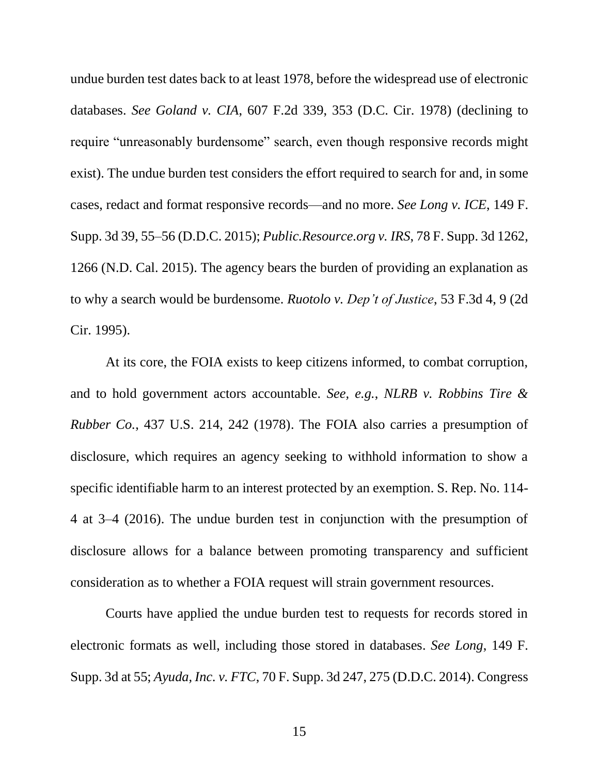undue burden test dates back to at least 1978, before the widespread use of electronic databases. *See Goland v. CIA*, 607 F.2d 339, 353 (D.C. Cir. 1978) (declining to require "unreasonably burdensome" search, even though responsive records might exist). The undue burden test considers the effort required to search for and, in some cases, redact and format responsive records—and no more. *See Long v. ICE*, 149 F. Supp. 3d 39, 55–56 (D.D.C. 2015); *Public.Resource.org v. IRS*, 78 F. Supp. 3d 1262, 1266 (N.D. Cal. 2015). The agency bears the burden of providing an explanation as to why a search would be burdensome. *Ruotolo v. Dep't of Justice*, 53 F.3d 4, 9 (2d Cir. 1995).

At its core, the FOIA exists to keep citizens informed, to combat corruption, and to hold government actors accountable. *See, e.g.*, *NLRB v. Robbins Tire & Rubber Co.*, 437 U.S. 214, 242 (1978). The FOIA also carries a presumption of disclosure, which requires an agency seeking to withhold information to show a specific identifiable harm to an interest protected by an exemption. S. Rep. No. 114- 4 at 3–4 (2016). The undue burden test in conjunction with the presumption of disclosure allows for a balance between promoting transparency and sufficient consideration as to whether a FOIA request will strain government resources.

Courts have applied the undue burden test to requests for records stored in electronic formats as well, including those stored in databases. *See Long*, 149 F. Supp. 3d at 55; *Ayuda, Inc. v. FTC*, 70 F. Supp. 3d 247, 275 (D.D.C. 2014). Congress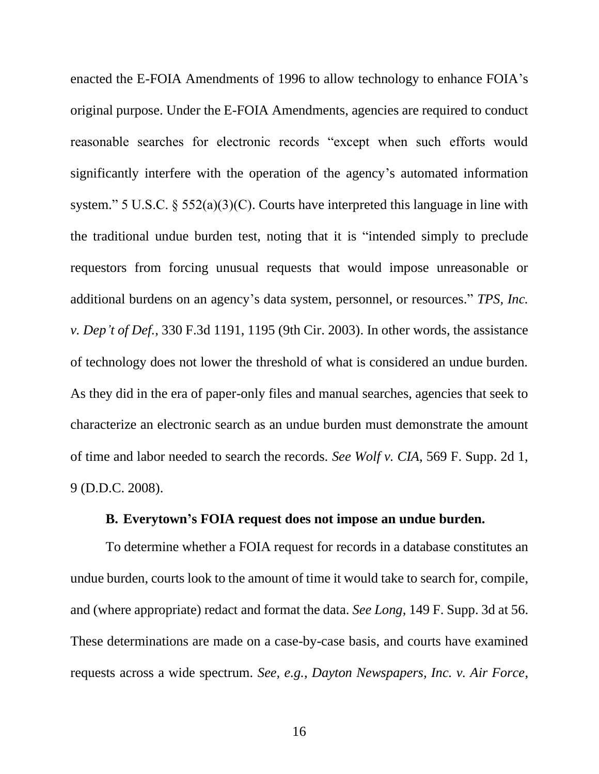enacted the E-FOIA Amendments of 1996 to allow technology to enhance FOIA's original purpose. Under the E-FOIA Amendments, agencies are required to conduct reasonable searches for electronic records "except when such efforts would significantly interfere with the operation of the agency's automated information system." 5 U.S.C. § 552(a)(3)(C). Courts have interpreted this language in line with the traditional undue burden test, noting that it is "intended simply to preclude requestors from forcing unusual requests that would impose unreasonable or additional burdens on an agency's data system, personnel, or resources." *TPS, Inc. v. Dep't of Def.*, 330 F.3d 1191, 1195 (9th Cir. 2003). In other words, the assistance of technology does not lower the threshold of what is considered an undue burden. As they did in the era of paper-only files and manual searches, agencies that seek to characterize an electronic search as an undue burden must demonstrate the amount of time and labor needed to search the records. *See Wolf v. CIA*, 569 F. Supp. 2d 1, 9 (D.D.C. 2008).

## **B. Everytown's FOIA request does not impose an undue burden.**

<span id="page-21-0"></span>To determine whether a FOIA request for records in a database constitutes an undue burden, courts look to the amount of time it would take to search for, compile, and (where appropriate) redact and format the data. *See Long*, 149 F. Supp. 3d at 56. These determinations are made on a case-by-case basis, and courts have examined requests across a wide spectrum. *See, e.g.*, *Dayton Newspapers, Inc. v. Air Force*,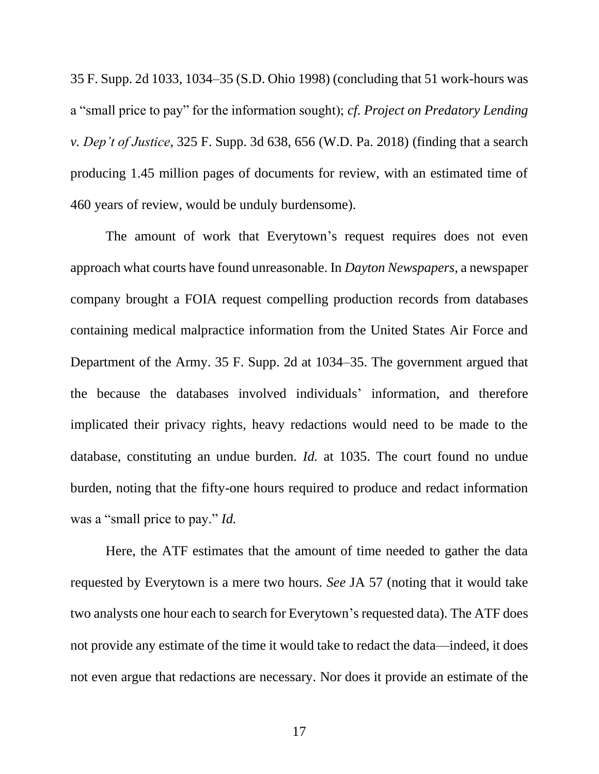35 F. Supp. 2d 1033, 1034–35 (S.D. Ohio 1998) (concluding that 51 work-hours was a "small price to pay" for the information sought); *cf. Project on Predatory Lending v. Dep't of Justice*, 325 F. Supp. 3d 638, 656 (W.D. Pa. 2018) (finding that a search producing 1.45 million pages of documents for review, with an estimated time of 460 years of review, would be unduly burdensome).

The amount of work that Everytown's request requires does not even approach what courts have found unreasonable. In *Dayton Newspapers*, a newspaper company brought a FOIA request compelling production records from databases containing medical malpractice information from the United States Air Force and Department of the Army. 35 F. Supp. 2d at 1034–35. The government argued that the because the databases involved individuals' information, and therefore implicated their privacy rights, heavy redactions would need to be made to the database, constituting an undue burden. *Id.* at 1035. The court found no undue burden, noting that the fifty-one hours required to produce and redact information was a "small price to pay." *Id.*

Here, the ATF estimates that the amount of time needed to gather the data requested by Everytown is a mere two hours. *See* JA 57 (noting that it would take two analysts one hour each to search for Everytown's requested data). The ATF does not provide any estimate of the time it would take to redact the data—indeed, it does not even argue that redactions are necessary. Nor does it provide an estimate of the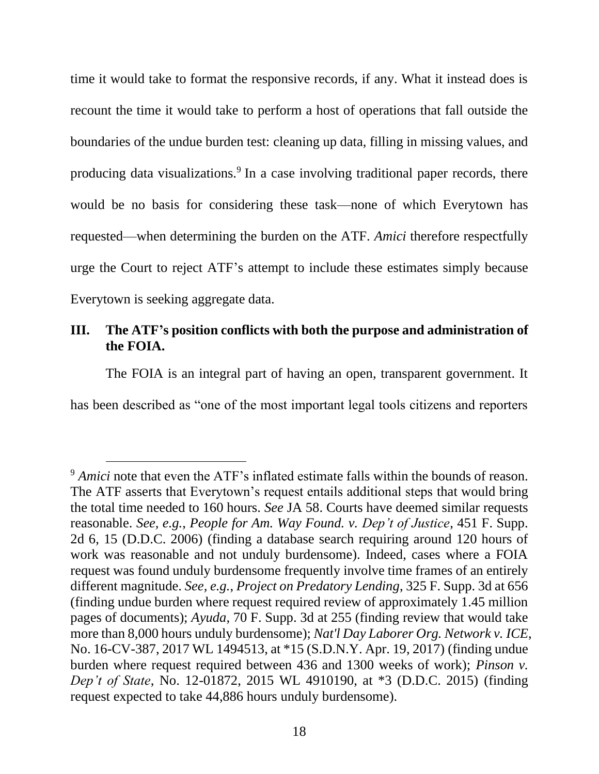time it would take to format the responsive records, if any. What it instead does is recount the time it would take to perform a host of operations that fall outside the boundaries of the undue burden test: cleaning up data, filling in missing values, and producing data visualizations.<sup>9</sup> In a case involving traditional paper records, there would be no basis for considering these task—none of which Everytown has requested—when determining the burden on the ATF. *Amici* therefore respectfully urge the Court to reject ATF's attempt to include these estimates simply because Everytown is seeking aggregate data.

## <span id="page-23-0"></span>**III. The ATF's position conflicts with both the purpose and administration of the FOIA.**

The FOIA is an integral part of having an open, transparent government. It

has been described as "one of the most important legal tools citizens and reporters

<sup>&</sup>lt;sup>9</sup> *Amici* note that even the ATF's inflated estimate falls within the bounds of reason. The ATF asserts that Everytown's request entails additional steps that would bring the total time needed to 160 hours. *See* JA 58. Courts have deemed similar requests reasonable. *See, e.g.*, *People for Am. Way Found. v. Dep't of Justice*, 451 F. Supp. 2d 6, 15 (D.D.C. 2006) (finding a database search requiring around 120 hours of work was reasonable and not unduly burdensome). Indeed, cases where a FOIA request was found unduly burdensome frequently involve time frames of an entirely different magnitude. *See, e.g.*, *Project on Predatory Lending*, 325 F. Supp. 3d at 656 (finding undue burden where request required review of approximately 1.45 million pages of documents); *Ayuda*, 70 F. Supp. 3d at 255 (finding review that would take more than 8,000 hours unduly burdensome); *Nat'l Day Laborer Org. Network v. ICE*, No. 16-CV-387, 2017 WL 1494513, at \*15 (S.D.N.Y. Apr. 19, 2017) (finding undue burden where request required between 436 and 1300 weeks of work); *Pinson v. Dep't of State*, No. 12-01872, 2015 WL 4910190, at \*3 (D.D.C. 2015) (finding request expected to take 44,886 hours unduly burdensome).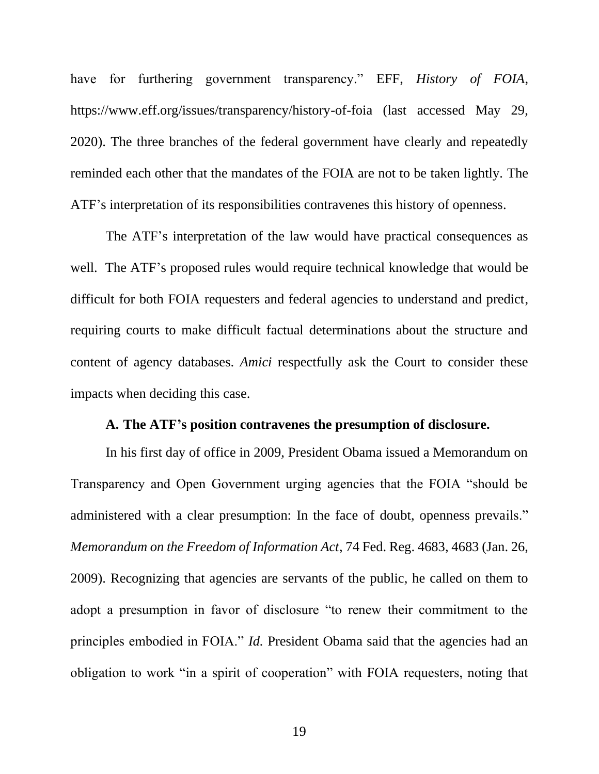have for furthering government transparency." EFF, *History of FOIA*, https://www.eff.org/issues/transparency/history-of-foia (last accessed May 29, 2020). The three branches of the federal government have clearly and repeatedly reminded each other that the mandates of the FOIA are not to be taken lightly. The ATF's interpretation of its responsibilities contravenes this history of openness.

The ATF's interpretation of the law would have practical consequences as well. The ATF's proposed rules would require technical knowledge that would be difficult for both FOIA requesters and federal agencies to understand and predict, requiring courts to make difficult factual determinations about the structure and content of agency databases. *Amici* respectfully ask the Court to consider these impacts when deciding this case.

#### **A. The ATF's position contravenes the presumption of disclosure.**

<span id="page-24-0"></span>In his first day of office in 2009, President Obama issued a Memorandum on Transparency and Open Government urging agencies that the FOIA "should be administered with a clear presumption: In the face of doubt, openness prevails." *Memorandum on the Freedom of Information Act*, 74 Fed. Reg. 4683, 4683 (Jan. 26, 2009). Recognizing that agencies are servants of the public, he called on them to adopt a presumption in favor of disclosure "to renew their commitment to the principles embodied in FOIA." *Id.* President Obama said that the agencies had an obligation to work "in a spirit of cooperation" with FOIA requesters, noting that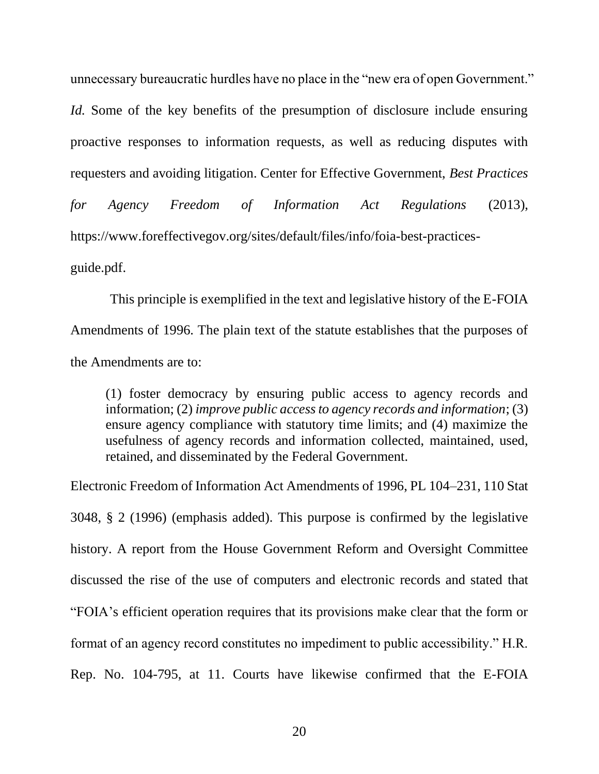unnecessary bureaucratic hurdles have no place in the "new era of open Government." *Id.* Some of the key benefits of the presumption of disclosure include ensuring proactive responses to information requests, as well as reducing disputes with requesters and avoiding litigation. Center for Effective Government, *Best Practices for Agency Freedom of Information Act Regulations* (2013), [https://www.foreffectivegov.org/sites/default/files/info/foia-best-practices](https://www.foreffectivegov.org/sites/default/files/info/foia-best-practices-guide.pdf)[guide.pdf.](https://www.foreffectivegov.org/sites/default/files/info/foia-best-practices-guide.pdf)

This principle is exemplified in the text and legislative history of the E-FOIA Amendments of 1996. The plain text of the statute establishes that the purposes of the Amendments are to:

(1) foster democracy by ensuring public access to agency records and information; (2) *improve public access to agency records and information*; (3) ensure agency compliance with statutory time limits; and (4) maximize the usefulness of agency records and information collected, maintained, used, retained, and disseminated by the Federal Government.

Electronic Freedom of Information Act Amendments of 1996, PL 104–231, 110 Stat 3048, § 2 (1996) (emphasis added). This purpose is confirmed by the legislative history. A report from the House Government Reform and Oversight Committee discussed the rise of the use of computers and electronic records and stated that "FOIA's efficient operation requires that its provisions make clear that the form or format of an agency record constitutes no impediment to public accessibility." H.R. Rep. No. 104-795, at 11. Courts have likewise confirmed that the E-FOIA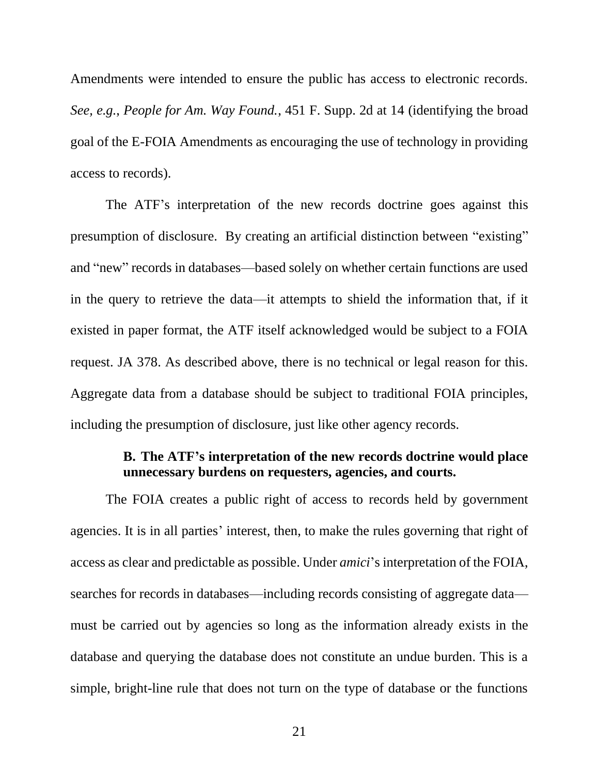Amendments were intended to ensure the public has access to electronic records. *See, e.g.*, *People for Am. Way Found.*, 451 F. Supp. 2d at 14 (identifying the broad goal of the E-FOIA Amendments as encouraging the use of technology in providing access to records).

The ATF's interpretation of the new records doctrine goes against this presumption of disclosure. By creating an artificial distinction between "existing" and "new" records in databases—based solely on whether certain functions are used in the query to retrieve the data—it attempts to shield the information that, if it existed in paper format, the ATF itself acknowledged would be subject to a FOIA request. JA 378. As described above, there is no technical or legal reason for this. Aggregate data from a database should be subject to traditional FOIA principles, including the presumption of disclosure, just like other agency records.

## **B. The ATF's interpretation of the new records doctrine would place unnecessary burdens on requesters, agencies, and courts.**

<span id="page-26-0"></span>The FOIA creates a public right of access to records held by government agencies. It is in all parties' interest, then, to make the rules governing that right of access as clear and predictable as possible. Under *amici*'s interpretation of the FOIA, searches for records in databases—including records consisting of aggregate data must be carried out by agencies so long as the information already exists in the database and querying the database does not constitute an undue burden. This is a simple, bright-line rule that does not turn on the type of database or the functions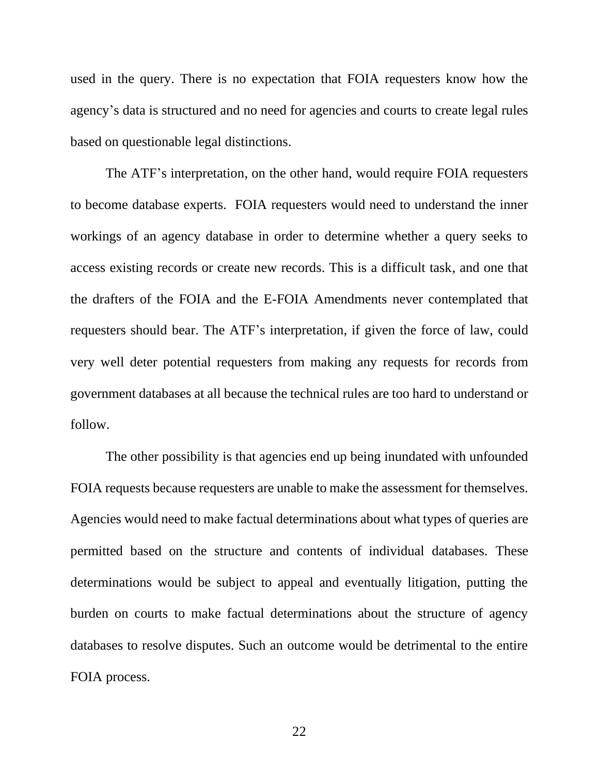used in the query. There is no expectation that FOIA requesters know how the agency's data is structured and no need for agencies and courts to create legal rules based on questionable legal distinctions.

The ATF's interpretation, on the other hand, would require FOIA requesters to become database experts. FOIA requesters would need to understand the inner workings of an agency database in order to determine whether a query seeks to access existing records or create new records. This is a difficult task, and one that the drafters of the FOIA and the E-FOIA Amendments never contemplated that requesters should bear. The ATF's interpretation, if given the force of law, could very well deter potential requesters from making any requests for records from government databases at all because the technical rules are too hard to understand or follow.

The other possibility is that agencies end up being inundated with unfounded FOIA requests because requesters are unable to make the assessment for themselves. Agencies would need to make factual determinations about what types of queries are permitted based on the structure and contents of individual databases. These determinations would be subject to appeal and eventually litigation, putting the burden on courts to make factual determinations about the structure of agency databases to resolve disputes. Such an outcome would be detrimental to the entire FOIA process.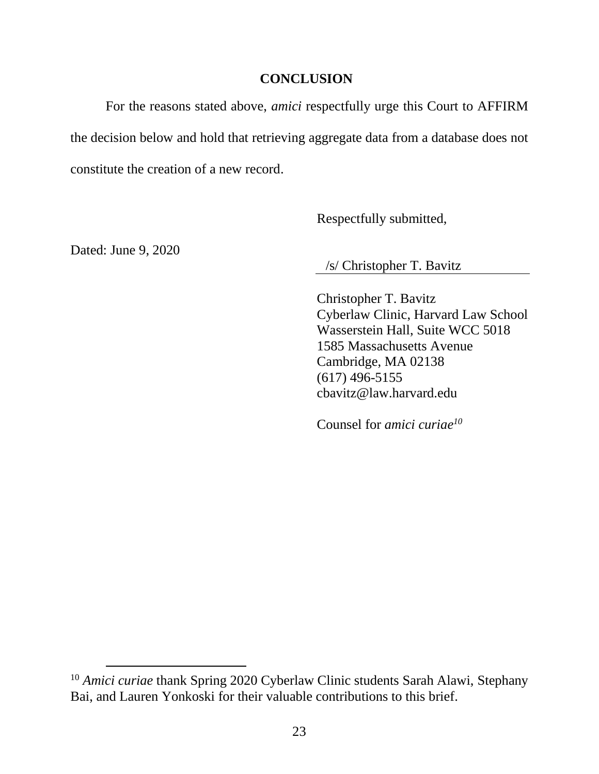#### **CONCLUSION**

<span id="page-28-0"></span>For the reasons stated above, *amici* respectfully urge this Court to AFFIRM the decision below and hold that retrieving aggregate data from a database does not constitute the creation of a new record.

Respectfully submitted,

Dated: June 9, 2020

/s/ Christopher T. Bavitz

Christopher T. Bavitz Cyberlaw Clinic, Harvard Law School Wasserstein Hall, Suite WCC 5018 1585 Massachusetts Avenue Cambridge, MA 02138 (617) 496-5155 cbavitz@law.harvard.edu

<sup>&</sup>lt;sup>10</sup> *Amici curiae* thank Spring 2020 Cyberlaw Clinic students Sarah Alawi, Stephany Bai, and Lauren Yonkoski for their valuable contributions to this brief.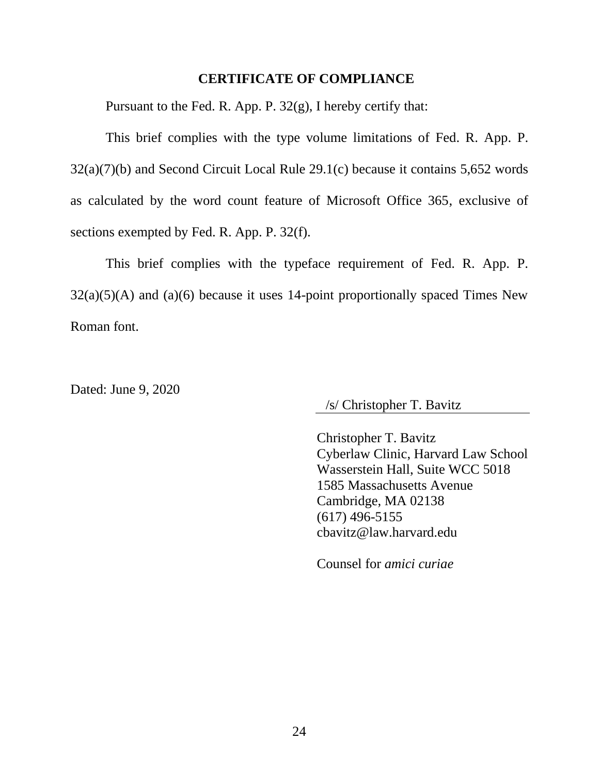#### **CERTIFICATE OF COMPLIANCE**

<span id="page-29-0"></span>Pursuant to the Fed. R. App. P. 32(g), I hereby certify that:

This brief complies with the type volume limitations of Fed. R. App. P. 32(a)(7)(b) and Second Circuit Local Rule 29.1(c) because it contains 5,652 words as calculated by the word count feature of Microsoft Office 365, exclusive of sections exempted by Fed. R. App. P. 32(f).

This brief complies with the typeface requirement of Fed. R. App. P.  $32(a)(5)(A)$  and  $(a)(6)$  because it uses 14-point proportionally spaced Times New Roman font.

Dated: June 9, 2020

/s/ Christopher T. Bavitz

Christopher T. Bavitz Cyberlaw Clinic, Harvard Law School Wasserstein Hall, Suite WCC 5018 1585 Massachusetts Avenue Cambridge, MA 02138 (617) 496-5155 cbavitz@law.harvard.edu